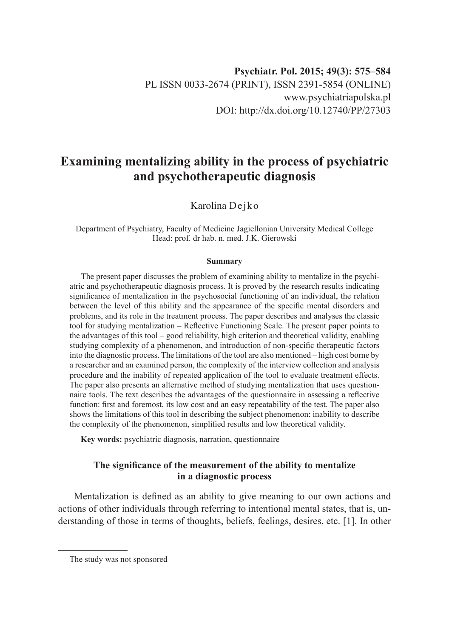# **Examining mentalizing ability in the process of psychiatric and psychotherapeutic diagnosis**

Karolina Dejko

Department of Psychiatry, Faculty of Medicine Jagiellonian University Medical College Head: prof. dr hab. n. med. J.K. Gierowski

#### **Summary**

The present paper discusses the problem of examining ability to mentalize in the psychiatric and psychotherapeutic diagnosis process. It is proved by the research results indicating significance of mentalization in the psychosocial functioning of an individual, the relation between the level of this ability and the appearance of the specific mental disorders and problems, and its role in the treatment process. The paper describes and analyses the classic tool for studying mentalization – Reflective Functioning Scale. The present paper points to the advantages of this tool – good reliability, high criterion and theoretical validity, enabling studying complexity of a phenomenon, and introduction of non-specific therapeutic factors into the diagnostic process. The limitations of the tool are also mentioned – high cost borne by a researcher and an examined person, the complexity of the interview collection and analysis procedure and the inability of repeated application of the tool to evaluate treatment effects. The paper also presents an alternative method of studying mentalization that uses questionnaire tools. The text describes the advantages of the questionnaire in assessing a reflective function: first and foremost, its low cost and an easy repeatability of the test. The paper also shows the limitations of this tool in describing the subject phenomenon: inability to describe the complexity of the phenomenon, simplified results and low theoretical validity.

**Key words:** psychiatric diagnosis, narration, questionnaire

## **The significance of the measurement of the ability to mentalize in a diagnostic process**

Mentalization is defined as an ability to give meaning to our own actions and actions of other individuals through referring to intentional mental states, that is, understanding of those in terms of thoughts, beliefs, feelings, desires, etc. [1]. In other

The study was not sponsored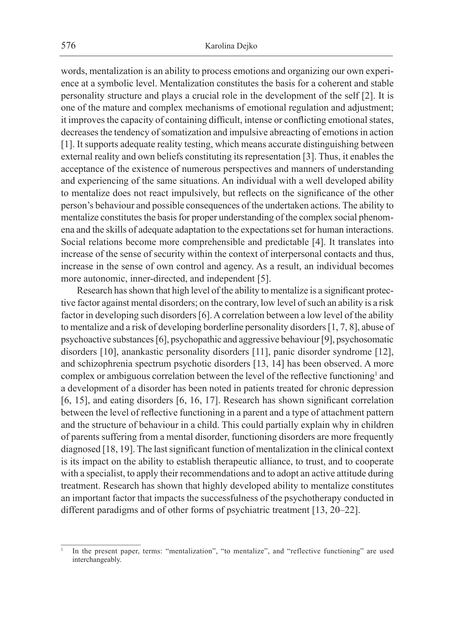words, mentalization is an ability to process emotions and organizing our own experience at a symbolic level. Mentalization constitutes the basis for a coherent and stable personality structure and plays a crucial role in the development of the self [2]. It is one of the mature and complex mechanisms of emotional regulation and adjustment; it improves the capacity of containing difficult, intense or conflicting emotional states, decreases the tendency of somatization and impulsive abreacting of emotions in action [1]. It supports adequate reality testing, which means accurate distinguishing between external reality and own beliefs constituting its representation [3]. Thus, it enables the acceptance of the existence of numerous perspectives and manners of understanding and experiencing of the same situations. An individual with a well developed ability to mentalize does not react impulsively, but reflects on the significance of the other person's behaviour and possible consequences of the undertaken actions. The ability to mentalize constitutes the basis for proper understanding of the complex social phenomena and the skills of adequate adaptation to the expectations set for human interactions. Social relations become more comprehensible and predictable [4]. It translates into increase of the sense of security within the context of interpersonal contacts and thus, increase in the sense of own control and agency. As a result, an individual becomes more autonomic, inner-directed, and independent [5].

Research has shown that high level of the ability to mentalize is a significant protective factor against mental disorders; on the contrary, low level of such an ability is a risk factor in developing such disorders [6]. A correlation between a low level of the ability to mentalize and a risk of developing borderline personality disorders [1, 7, 8], abuse of psychoactive substances [6], psychopathic and aggressive behaviour [9], psychosomatic disorders [10], anankastic personality disorders [11], panic disorder syndrome [12], and schizophrenia spectrum psychotic disorders [13, 14] has been observed. A more complex or ambiguous correlation between the level of the reflective functioning<sup>1</sup> and a development of a disorder has been noted in patients treated for chronic depression [6, 15], and eating disorders [6, 16, 17]. Research has shown significant correlation between the level of reflective functioning in a parent and a type of attachment pattern and the structure of behaviour in a child. This could partially explain why in children of parents suffering from a mental disorder, functioning disorders are more frequently diagnosed [18, 19]. The last significant function of mentalization in the clinical context is its impact on the ability to establish therapeutic alliance, to trust, and to cooperate with a specialist, to apply their recommendations and to adopt an active attitude during treatment. Research has shown that highly developed ability to mentalize constitutes an important factor that impacts the successfulness of the psychotherapy conducted in different paradigms and of other forms of psychiatric treatment [13, 20–22].

<sup>1</sup> In the present paper, terms: "mentalization", "to mentalize", and "reflective functioning" are used interchangeably.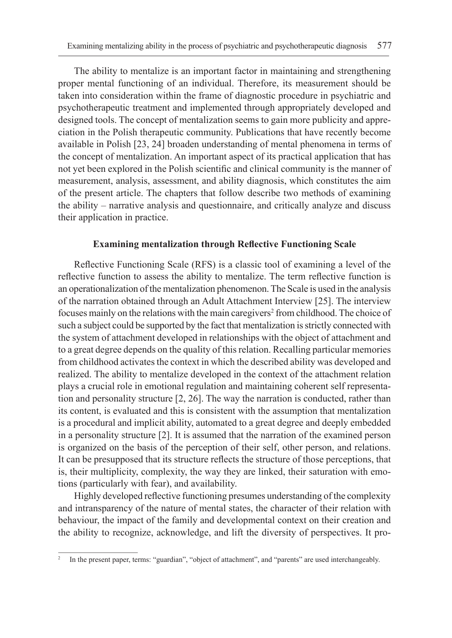The ability to mentalize is an important factor in maintaining and strengthening proper mental functioning of an individual. Therefore, its measurement should be taken into consideration within the frame of diagnostic procedure in psychiatric and psychotherapeutic treatment and implemented through appropriately developed and designed tools. The concept of mentalization seems to gain more publicity and appreciation in the Polish therapeutic community. Publications that have recently become available in Polish [23, 24] broaden understanding of mental phenomena in terms of the concept of mentalization. An important aspect of its practical application that has not yet been explored in the Polish scientific and clinical community is the manner of measurement, analysis, assessment, and ability diagnosis, which constitutes the aim of the present article. The chapters that follow describe two methods of examining the ability – narrative analysis and questionnaire, and critically analyze and discuss their application in practice.

### **Examining mentalization through Reflective Functioning Scale**

Reflective Functioning Scale (RFS) is a classic tool of examining a level of the reflective function to assess the ability to mentalize. The term reflective function is an operationalization of the mentalization phenomenon. The Scale is used in the analysis of the narration obtained through an Adult Attachment Interview [25]. The interview focuses mainly on the relations with the main caregivers<sup>2</sup> from childhood. The choice of such a subject could be supported by the fact that mentalization is strictly connected with the system of attachment developed in relationships with the object of attachment and to a great degree depends on the quality of this relation. Recalling particular memories from childhood activates the context in which the described ability was developed and realized. The ability to mentalize developed in the context of the attachment relation plays a crucial role in emotional regulation and maintaining coherent self representation and personality structure [2, 26]. The way the narration is conducted, rather than its content, is evaluated and this is consistent with the assumption that mentalization is a procedural and implicit ability, automated to a great degree and deeply embedded in a personality structure [2]. It is assumed that the narration of the examined person is organized on the basis of the perception of their self, other person, and relations. It can be presupposed that its structure reflects the structure of those perceptions, that is, their multiplicity, complexity, the way they are linked, their saturation with emotions (particularly with fear), and availability.

Highly developed reflective functioning presumes understanding of the complexity and intransparency of the nature of mental states, the character of their relation with behaviour, the impact of the family and developmental context on their creation and the ability to recognize, acknowledge, and lift the diversity of perspectives. It pro-

In the present paper, terms: "guardian", "object of attachment", and "parents" are used interchangeably.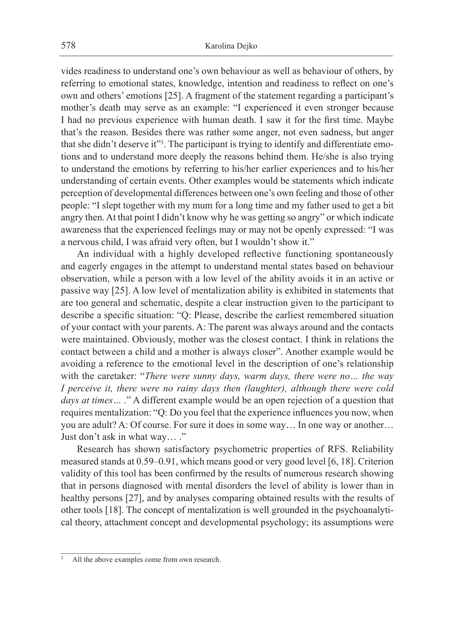vides readiness to understand one's own behaviour as well as behaviour of others, by referring to emotional states, knowledge, intention and readiness to reflect on one's own and others' emotions [25]. A fragment of the statement regarding a participant's mother's death may serve as an example: "I experienced it even stronger because I had no previous experience with human death. I saw it for the first time. Maybe that's the reason. Besides there was rather some anger, not even sadness, but anger that she didn't deserve it"3 . The participant is trying to identify and differentiate emotions and to understand more deeply the reasons behind them. He/she is also trying to understand the emotions by referring to his/her earlier experiences and to his/her understanding of certain events. Other examples would be statements which indicate perception of developmental differences between one's own feeling and those of other people: "I slept together with my mum for a long time and my father used to get a bit angry then. At that point I didn't know why he was getting so angry" or which indicate awareness that the experienced feelings may or may not be openly expressed: "I was a nervous child, I was afraid very often, but I wouldn't show it."

An individual with a highly developed reflective functioning spontaneously and eagerly engages in the attempt to understand mental states based on behaviour observation, while a person with a low level of the ability avoids it in an active or passive way [25]. A low level of mentalization ability is exhibited in statements that are too general and schematic, despite a clear instruction given to the participant to describe a specific situation: "Q: Please, describe the earliest remembered situation of your contact with your parents. A: The parent was always around and the contacts were maintained. Obviously, mother was the closest contact. I think in relations the contact between a child and a mother is always closer". Another example would be avoiding a reference to the emotional level in the description of one's relationship with the caretaker: "*There were sunny days, warm days, there were no… the way I perceive it, there were no rainy days then (laughter), although there were cold days at times… .*" A different example would be an open rejection of a question that requires mentalization: "Q: Do you feel that the experience influences you now, when you are adult? A: Of course. For sure it does in some way… In one way or another… Just don't ask in what way...."

Research has shown satisfactory psychometric properties of RFS. Reliability measured stands at 0.59–0.91, which means good or very good level [6, 18]. Criterion validity of this tool has been confirmed by the results of numerous research showing that in persons diagnosed with mental disorders the level of ability is lower than in healthy persons [27], and by analyses comparing obtained results with the results of other tools [18]. The concept of mentalization is well grounded in the psychoanalytical theory, attachment concept and developmental psychology; its assumptions were

All the above examples come from own research.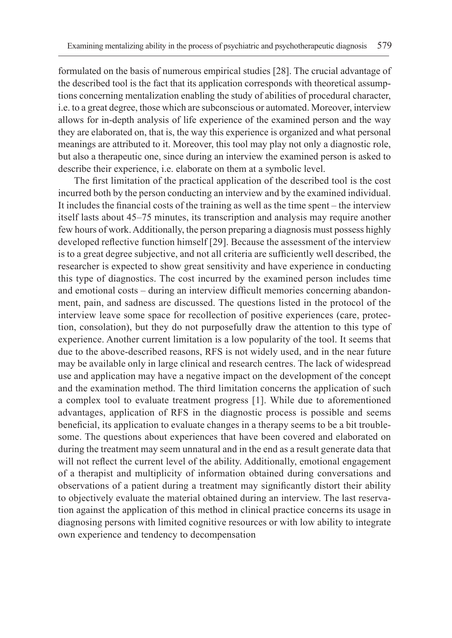formulated on the basis of numerous empirical studies [28]. The crucial advantage of the described tool is the fact that its application corresponds with theoretical assumptions concerning mentalization enabling the study of abilities of procedural character, i.e. to a great degree, those which are subconscious or automated. Moreover, interview allows for in-depth analysis of life experience of the examined person and the way they are elaborated on, that is, the way this experience is organized and what personal meanings are attributed to it. Moreover, this tool may play not only a diagnostic role, but also a therapeutic one, since during an interview the examined person is asked to describe their experience, i.e. elaborate on them at a symbolic level.

The first limitation of the practical application of the described tool is the cost incurred both by the person conducting an interview and by the examined individual. It includes the financial costs of the training as well as the time spent – the interview itself lasts about 45–75 minutes, its transcription and analysis may require another few hours of work. Additionally, the person preparing a diagnosis must possess highly developed reflective function himself [29]. Because the assessment of the interview is to a great degree subjective, and not all criteria are sufficiently well described, the researcher is expected to show great sensitivity and have experience in conducting this type of diagnostics. The cost incurred by the examined person includes time and emotional costs – during an interview difficult memories concerning abandonment, pain, and sadness are discussed. The questions listed in the protocol of the interview leave some space for recollection of positive experiences (care, protection, consolation), but they do not purposefully draw the attention to this type of experience. Another current limitation is a low popularity of the tool. It seems that due to the above-described reasons, RFS is not widely used, and in the near future may be available only in large clinical and research centres. The lack of widespread use and application may have a negative impact on the development of the concept and the examination method. The third limitation concerns the application of such a complex tool to evaluate treatment progress [1]. While due to aforementioned advantages, application of RFS in the diagnostic process is possible and seems beneficial, its application to evaluate changes in a therapy seems to be a bit troublesome. The questions about experiences that have been covered and elaborated on during the treatment may seem unnatural and in the end as a result generate data that will not reflect the current level of the ability. Additionally, emotional engagement of a therapist and multiplicity of information obtained during conversations and observations of a patient during a treatment may significantly distort their ability to objectively evaluate the material obtained during an interview. The last reservation against the application of this method in clinical practice concerns its usage in diagnosing persons with limited cognitive resources or with low ability to integrate own experience and tendency to decompensation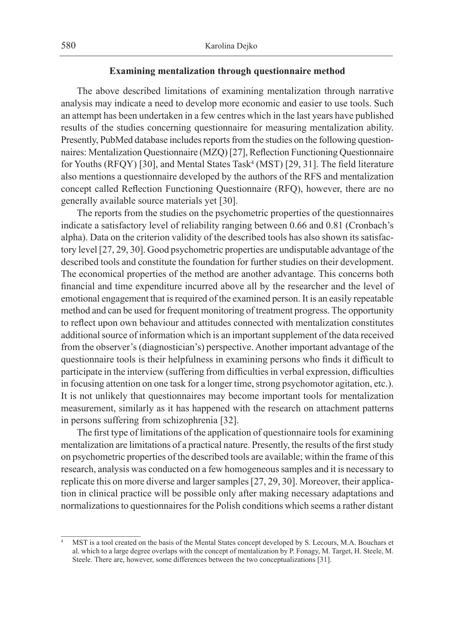#### **Examining mentalization through questionnaire method**

The above described limitations of examining mentalization through narrative analysis may indicate a need to develop more economic and easier to use tools. Such an attempt has been undertaken in a few centres which in the last years have published results of the studies concerning questionnaire for measuring mentalization ability. Presently, PubMed database includes reports from the studies on the following questionnaires: Mentalization Questionnaire (MZQ) [27], Reflection Functioning Questionnaire for Youths (RFQY) [30], and Mental States Task<sup>4</sup> (MST) [29, 31]. The field literature also mentions a questionnaire developed by the authors of the RFS and mentalization concept called Reflection Functioning Questionnaire (RFQ), however, there are no generally available source materials yet [30].

The reports from the studies on the psychometric properties of the questionnaires indicate a satisfactory level of reliability ranging between 0.66 and 0.81 (Cronbach's alpha). Data on the criterion validity of the described tools has also shown its satisfactory level [27, 29, 30]. Good psychometric properties are undisputable advantage of the described tools and constitute the foundation for further studies on their development. The economical properties of the method are another advantage. This concerns both financial and time expenditure incurred above all by the researcher and the level of emotional engagement that is required of the examined person. It is an easily repeatable method and can be used for frequent monitoring of treatment progress. The opportunity to reflect upon own behaviour and attitudes connected with mentalization constitutes additional source of information which is an important supplement of the data received from the observer's (diagnostician's) perspective. Another important advantage of the questionnaire tools is their helpfulness in examining persons who finds it difficult to participate in the interview (suffering from difficulties in verbal expression, difficulties in focusing attention on one task for a longer time, strong psychomotor agitation, etc.). It is not unlikely that questionnaires may become important tools for mentalization measurement, similarly as it has happened with the research on attachment patterns in persons suffering from schizophrenia [32].

The first type of limitations of the application of questionnaire tools for examining mentalization are limitations of a practical nature. Presently, the results of the first study on psychometric properties of the described tools are available; within the frame of this research, analysis was conducted on a few homogeneous samples and it is necessary to replicate this on more diverse and larger samples [27, 29, 30]. Moreover, their application in clinical practice will be possible only after making necessary adaptations and normalizations to questionnaires for the Polish conditions which seems a rather distant

<sup>4</sup> MST is a tool created on the basis of the Mental States concept developed by S. Lecours, M.A. Bouchars et al. which to a large degree overlaps with the concept of mentalization by P. Fonagy, M. Target, H. Steele, M. Steele. There are, however, some differences between the two conceptualizations [31].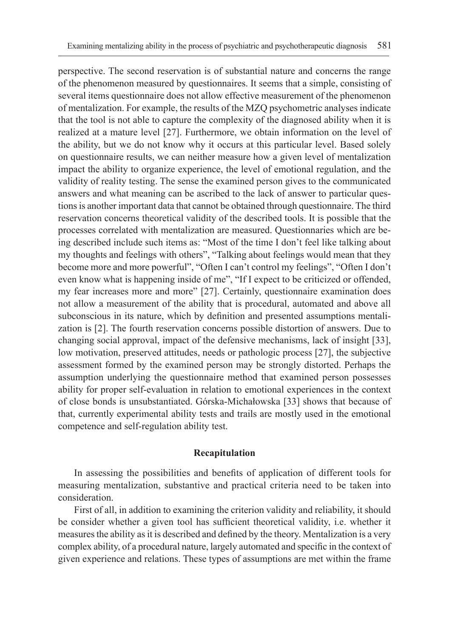perspective. The second reservation is of substantial nature and concerns the range of the phenomenon measured by questionnaires. It seems that a simple, consisting of several items questionnaire does not allow effective measurement of the phenomenon of mentalization. For example, the results of the MZQ psychometric analyses indicate that the tool is not able to capture the complexity of the diagnosed ability when it is realized at a mature level [27]. Furthermore, we obtain information on the level of the ability, but we do not know why it occurs at this particular level. Based solely on questionnaire results, we can neither measure how a given level of mentalization impact the ability to organize experience, the level of emotional regulation, and the validity of reality testing. The sense the examined person gives to the communicated answers and what meaning can be ascribed to the lack of answer to particular questions is another important data that cannot be obtained through questionnaire. The third reservation concerns theoretical validity of the described tools. It is possible that the processes correlated with mentalization are measured. Questionnaries which are being described include such items as: "Most of the time I don't feel like talking about my thoughts and feelings with others", "Talking about feelings would mean that they become more and more powerful", "Often I can't control my feelings", "Often I don't even know what is happening inside of me", "If I expect to be criticized or offended, my fear increases more and more" [27]. Certainly, questionnaire examination does not allow a measurement of the ability that is procedural, automated and above all subconscious in its nature, which by definition and presented assumptions mentalization is [2]. The fourth reservation concerns possible distortion of answers. Due to changing social approval, impact of the defensive mechanisms, lack of insight [33], low motivation, preserved attitudes, needs or pathologic process [27], the subjective assessment formed by the examined person may be strongly distorted. Perhaps the assumption underlying the questionnaire method that examined person possesses ability for proper self-evaluation in relation to emotional experiences in the context of close bonds is unsubstantiated. Górska-Michałowska [33] shows that because of that, currently experimental ability tests and trails are mostly used in the emotional competence and self-regulation ability test.

#### **Recapitulation**

In assessing the possibilities and benefits of application of different tools for measuring mentalization, substantive and practical criteria need to be taken into consideration.

First of all, in addition to examining the criterion validity and reliability, it should be consider whether a given tool has sufficient theoretical validity, i.e. whether it measures the ability as it is described and defined by the theory. Mentalization is a very complex ability, of a procedural nature, largely automated and specific in the context of given experience and relations. These types of assumptions are met within the frame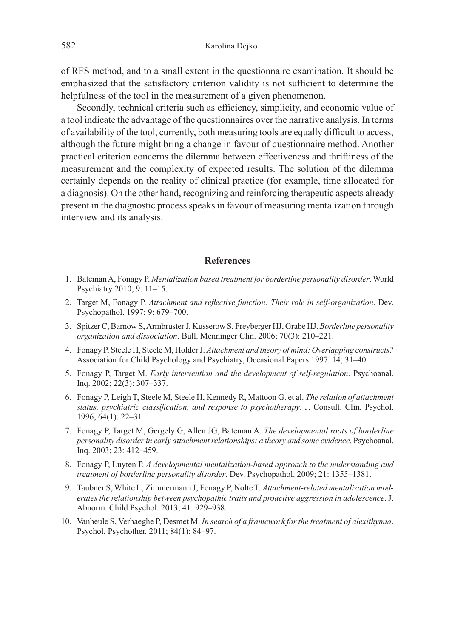of RFS method, and to a small extent in the questionnaire examination. It should be emphasized that the satisfactory criterion validity is not sufficient to determine the helpfulness of the tool in the measurement of a given phenomenon.

Secondly, technical criteria such as efficiency, simplicity, and economic value of a tool indicate the advantage of the questionnaires over the narrative analysis. In terms of availability of the tool, currently, both measuring tools are equally difficult to access, although the future might bring a change in favour of questionnaire method. Another practical criterion concerns the dilemma between effectiveness and thriftiness of the measurement and the complexity of expected results. The solution of the dilemma certainly depends on the reality of clinical practice (for example, time allocated for a diagnosis). On the other hand, recognizing and reinforcing therapeutic aspects already present in the diagnostic process speaks in favour of measuring mentalization through interview and its analysis.

### **References**

- 1. Bateman A, Fonagy P. *Mentalization based treatment for borderline personality disorder*. World Psychiatry 2010; 9: 11–15.
- 2. Target M, Fonagy P. *Attachment and reflective function: Their role in self-organization*. Dev. Psychopathol. 1997; 9: 679–700.
- 3. Spitzer C, Barnow S, Armbruster J, Kusserow S, Freyberger HJ, Grabe HJ. *Borderline personality organization and dissociation*. Bull. Menninger Clin. 2006; 70(3): 210–221.
- 4. Fonagy P, Steele H, Steele M, Holder J. *Attachment and theory of mind: Overlapping constructs?*  Association for Child Psychology and Psychiatry, Occasional Papers 1997. 14; 31–40.
- 5. Fonagy P, Target M. *Early intervention and the development of self-regulation*. Psychoanal. Inq. 2002; 22(3): 307–337.
- 6. Fonagy P, Leigh T, Steele M, Steele H, Kennedy R, Mattoon G. et al. *The relation of attachment status, psychiatric classification, and response to psychotherapy*. J. Consult. Clin. Psychol. 1996; 64(1): 22–31.
- 7. Fonagy P, Target M, Gergely G, Allen JG, Bateman A. *The developmental roots of borderline personality disorder in early attachment relationships: a theory and some evidence*. Psychoanal. Inq. 2003; 23: 412–459.
- 8. Fonagy P, Luyten P. *A developmental mentalization-based approach to the understanding and treatment of borderline personality disorder*. Dev. Psychopathol. 2009; 21: 1355–1381.
- 9. Taubner S, White L, Zimmermann J, Fonagy P, Nolte T. *Attachment-related mentalization moderates the relationship between psychopathic traits and proactive aggression in adolescence*. J. Abnorm. Child Psychol. 2013; 41: 929–938.
- 10. Vanheule S, Verhaeghe P, Desmet M. *In search of a framework for the treatment of alexithymia*. Psychol. Psychother. 2011; 84(1): 84-97.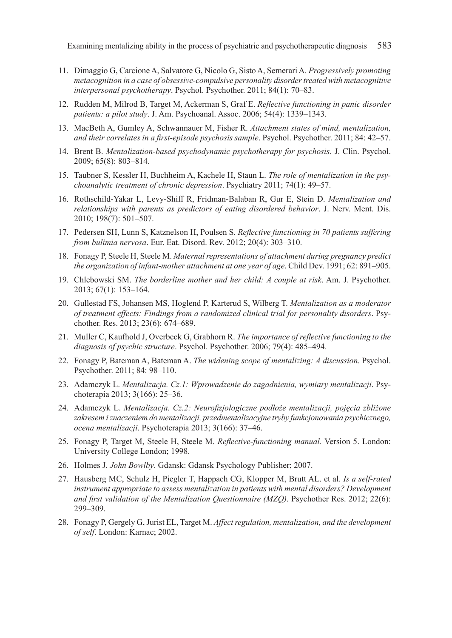- 11. Dimaggio G, Carcione A, Salvatore G, Nicolo G, Sisto A, Semerari A. *Progressively promoting metacognition in a case of obsessive-compulsive personality disorder treated with metacognitive interpersonal psychotherapy*. Psychol. Psychother. 2011; 84(1): 70–83.
- 12. Rudden M, Milrod B, Target M, Ackerman S, Graf E. *Reflective functioning in panic disorder patients: a pilot study*. J. Am. Psychoanal. Assoc. 2006; 54(4): 1339–1343.
- 13. MacBeth A, Gumley A, Schwannauer M, Fisher R. *Attachment states of mind, mentalization, and their correlates in a first-episode psychosis sample*. Psychol. Psychother. 2011; 84: 42–57.
- 14. Brent B. *Mentalization-based psychodynamic psychotherapy for psychosis*. J. Clin. Psychol. 2009; 65(8): 803–814.
- 15. Taubner S, Kessler H, Buchheim A, Kachele H, Staun L. *The role of mentalization in the psychoanalytic treatment of chronic depression*. Psychiatry 2011; 74(1): 49–57.
- 16. Rothschild-Yakar L, Levy-Shiff R, Fridman-Balaban R, Gur E, Stein D. *Mentalization and relationships with parents as predictors of eating disordered behavior*. J. Nerv. Ment. Dis. 2010; 198(7): 501–507.
- 17. Pedersen SH, Lunn S, Katznelson H, Poulsen S. *Reflective functioning in 70 patients suffering from bulimia nervosa*. Eur. Eat. Disord. Rev. 2012; 20(4): 303–310.
- 18. Fonagy P, Steele H, Steele M. *Maternal representations of attachment during pregnancy predict the organization of infant-mother attachment at one year of age*. Child Dev. 1991; 62: 891–905.
- 19. Chlebowski SM. *The borderline mother and her child: A couple at risk*. Am. J. Psychother. 2013; 67(1): 153–164.
- 20. Gullestad FS, Johansen MS, Hoglend P, Karterud S, Wilberg T. *Mentalization as a moderator of treatment effects: Findings from a randomized clinical trial for personality disorders*. Psychother. Res. 2013; 23(6): 674–689.
- 21. Muller C, Kaufhold J, Overbeck G, Grabhorn R. *The importance of reflective functioning to the diagnosis of psychic structure*. Psychol. Psychother. 2006; 79(4): 485–494.
- 22. Fonagy P, Bateman A, Bateman A. *The widening scope of mentalizing: A discussion*. Psychol. Psychother. 2011; 84: 98–110.
- 23. Adamczyk L. *Mentalizacja. Cz.1: Wprowadzenie do zagadnienia, wymiary mentalizacji*. Psychoterapia 2013; 3(166): 25–36.
- 24. Adamczyk L. *Mentalizacja. Cz.2: Neurofizjologiczne podłoże mentalizacji, pojęcia zbliżone zakresem i znaczeniem do mentalizacji, przedmentalizacyjne tryby funkcjonowania psychicznego, ocena mentalizacji*. Psychoterapia 2013; 3(166): 37–46.
- 25. Fonagy P, Target M, Steele H, Steele M. *Reflective-functioning manual*. Version 5. London: University College London; 1998.
- 26. Holmes J. *John Bowlby*. Gdansk: Gdansk Psychology Publisher; 2007.
- 27. Hausberg MC, Schulz H, Piegler T, Happach CG, Klopper M, Brutt AL. et al. *Is a self-rated instrument appropriate to assess mentalization in patients with mental disorders? Development and first validation of the Mentalization Questionnaire (MZQ)*. Psychother Res. 2012; 22(6): 299–309.
- 28. Fonagy P, Gergely G, Jurist EL, Target M. *Affect regulation, mentalization, and the development of self*. London: Karnac; 2002.